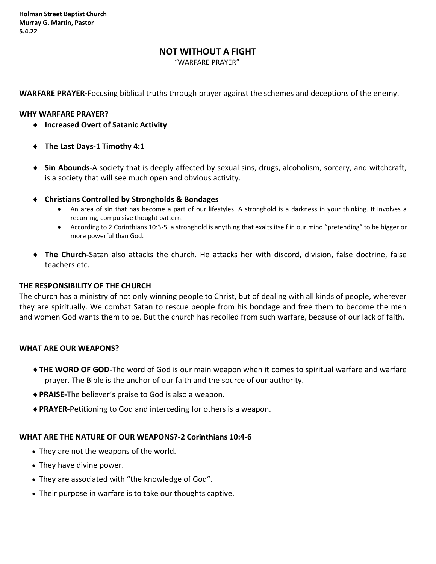# **NOT WITHOUT A FIGHT**

"WARFARE PRAYER"

**WARFARE PRAYER-**Focusing biblical truths through prayer against the schemes and deceptions of the enemy.

### **WHY WARFARE PRAYER?**

- **Increased Overt of Satanic Activity**
- **The Last Days-1 Timothy 4:1**
- **Sin Abounds-**A society that is deeply affected by sexual sins, drugs, alcoholism, sorcery, and witchcraft, is a society that will see much open and obvious activity.
- **Christians Controlled by Strongholds & Bondages**
	- An area of sin that has become a part of our lifestyles. A stronghold is a darkness in your thinking. It involves a recurring, compulsive thought pattern.
	- According to 2 Corinthians 10:3-5, a stronghold is anything that exalts itself in our mind "pretending" to be bigger or more powerful than God.
- **The Church-**Satan also attacks the church. He attacks her with discord, division, false doctrine, false teachers etc.

### **THE RESPONSIBILITY OF THE CHURCH**

The church has a ministry of not only winning people to Christ, but of dealing with all kinds of people, wherever they are spiritually. We combat Satan to rescue people from his bondage and free them to become the men and women God wants them to be. But the church has recoiled from such warfare, because of our lack of faith.

## **WHAT ARE OUR WEAPONS?**

- **THE WORD OF GOD-**The word of God is our main weapon when it comes to spiritual warfare and warfare prayer. The Bible is the anchor of our faith and the source of our authority.
- **PRAISE-**The believer's praise to God is also a weapon.
- **PRAYER-**Petitioning to God and interceding for others is a weapon.

#### **WHAT ARE THE NATURE OF OUR WEAPONS?-2 Corinthians 10:4-6**

- They are not the weapons of the world.
- They have divine power.
- They are associated with "the knowledge of God".
- Their purpose in warfare is to take our thoughts captive.